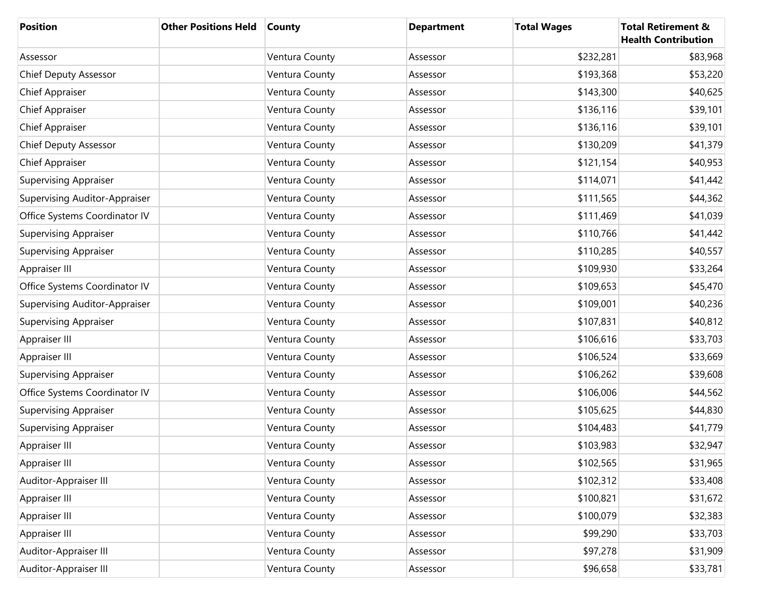| <b>Position</b>                      | <b>Other Positions Held</b> | <b>County</b>  | <b>Department</b> | <b>Total Wages</b> | <b>Total Retirement &amp;</b><br><b>Health Contribution</b> |
|--------------------------------------|-----------------------------|----------------|-------------------|--------------------|-------------------------------------------------------------|
| Assessor                             |                             | Ventura County | Assessor          | \$232,281          | \$83,968                                                    |
| <b>Chief Deputy Assessor</b>         |                             | Ventura County | Assessor          | \$193,368          | \$53,220                                                    |
| <b>Chief Appraiser</b>               |                             | Ventura County | Assessor          | \$143,300          | \$40,625                                                    |
| <b>Chief Appraiser</b>               |                             | Ventura County | Assessor          | \$136,116          | \$39,101                                                    |
| <b>Chief Appraiser</b>               |                             | Ventura County | Assessor          | \$136,116          | \$39,101                                                    |
| <b>Chief Deputy Assessor</b>         |                             | Ventura County | Assessor          | \$130,209          | \$41,379                                                    |
| <b>Chief Appraiser</b>               |                             | Ventura County | Assessor          | \$121,154          | \$40,953                                                    |
| <b>Supervising Appraiser</b>         |                             | Ventura County | Assessor          | \$114,071          | \$41,442                                                    |
| <b>Supervising Auditor-Appraiser</b> |                             | Ventura County | Assessor          | \$111,565          | \$44,362                                                    |
| Office Systems Coordinator IV        |                             | Ventura County | Assessor          | \$111,469          | \$41,039                                                    |
| <b>Supervising Appraiser</b>         |                             | Ventura County | Assessor          | \$110,766          | \$41,442                                                    |
| <b>Supervising Appraiser</b>         |                             | Ventura County | Assessor          | \$110,285          | \$40,557                                                    |
| Appraiser III                        |                             | Ventura County | Assessor          | \$109,930          | \$33,264                                                    |
| Office Systems Coordinator IV        |                             | Ventura County | Assessor          | \$109,653          | \$45,470                                                    |
| <b>Supervising Auditor-Appraiser</b> |                             | Ventura County | Assessor          | \$109,001          | \$40,236                                                    |
| <b>Supervising Appraiser</b>         |                             | Ventura County | Assessor          | \$107,831          | \$40,812                                                    |
| Appraiser III                        |                             | Ventura County | Assessor          | \$106,616          | \$33,703                                                    |
| Appraiser III                        |                             | Ventura County | Assessor          | \$106,524          | \$33,669                                                    |
| <b>Supervising Appraiser</b>         |                             | Ventura County | Assessor          | \$106,262          | \$39,608                                                    |
| Office Systems Coordinator IV        |                             | Ventura County | Assessor          | \$106,006          | \$44,562                                                    |
| <b>Supervising Appraiser</b>         |                             | Ventura County | Assessor          | \$105,625          | \$44,830                                                    |
| <b>Supervising Appraiser</b>         |                             | Ventura County | Assessor          | \$104,483          | \$41,779                                                    |
| Appraiser III                        |                             | Ventura County | Assessor          | \$103,983          | \$32,947                                                    |
| Appraiser III                        |                             | Ventura County | Assessor          | \$102,565          | \$31,965                                                    |
| Auditor-Appraiser III                |                             | Ventura County | Assessor          | \$102,312          | \$33,408                                                    |
| Appraiser III                        |                             | Ventura County | Assessor          | \$100,821          | \$31,672                                                    |
| Appraiser III                        |                             | Ventura County | Assessor          | \$100,079          | \$32,383                                                    |
| Appraiser III                        |                             | Ventura County | Assessor          | \$99,290           | \$33,703                                                    |
| Auditor-Appraiser III                |                             | Ventura County | Assessor          | \$97,278           | \$31,909                                                    |
| Auditor-Appraiser III                |                             | Ventura County | Assessor          | \$96,658           | \$33,781                                                    |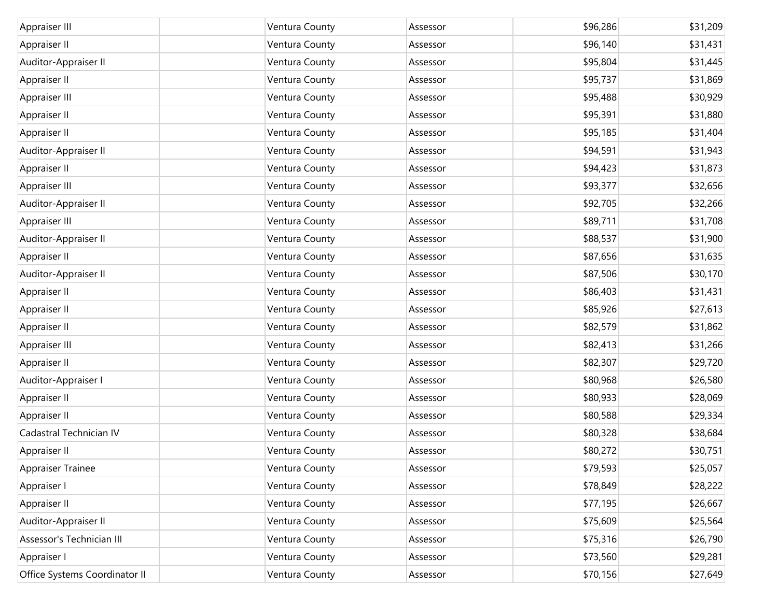| Appraiser III                 | Ventura County | Assessor | \$96,286 | \$31,209 |
|-------------------------------|----------------|----------|----------|----------|
| Appraiser II                  | Ventura County | Assessor | \$96,140 | \$31,431 |
| Auditor-Appraiser II          | Ventura County | Assessor | \$95,804 | \$31,445 |
| Appraiser II                  | Ventura County | Assessor | \$95,737 | \$31,869 |
| Appraiser III                 | Ventura County | Assessor | \$95,488 | \$30,929 |
| Appraiser II                  | Ventura County | Assessor | \$95,391 | \$31,880 |
| Appraiser II                  | Ventura County | Assessor | \$95,185 | \$31,404 |
| Auditor-Appraiser II          | Ventura County | Assessor | \$94,591 | \$31,943 |
| Appraiser II                  | Ventura County | Assessor | \$94,423 | \$31,873 |
| Appraiser III                 | Ventura County | Assessor | \$93,377 | \$32,656 |
| Auditor-Appraiser II          | Ventura County | Assessor | \$92,705 | \$32,266 |
| Appraiser III                 | Ventura County | Assessor | \$89,711 | \$31,708 |
| Auditor-Appraiser II          | Ventura County | Assessor | \$88,537 | \$31,900 |
| Appraiser II                  | Ventura County | Assessor | \$87,656 | \$31,635 |
| Auditor-Appraiser II          | Ventura County | Assessor | \$87,506 | \$30,170 |
| Appraiser II                  | Ventura County | Assessor | \$86,403 | \$31,431 |
| Appraiser II                  | Ventura County | Assessor | \$85,926 | \$27,613 |
| Appraiser II                  | Ventura County | Assessor | \$82,579 | \$31,862 |
| Appraiser III                 | Ventura County | Assessor | \$82,413 | \$31,266 |
| Appraiser II                  | Ventura County | Assessor | \$82,307 | \$29,720 |
| Auditor-Appraiser I           | Ventura County | Assessor | \$80,968 | \$26,580 |
| Appraiser II                  | Ventura County | Assessor | \$80,933 | \$28,069 |
| Appraiser II                  | Ventura County | Assessor | \$80,588 | \$29,334 |
| Cadastral Technician IV       | Ventura County | Assessor | \$80,328 | \$38,684 |
| Appraiser II                  | Ventura County | Assessor | \$80,272 | \$30,751 |
| Appraiser Trainee             | Ventura County | Assessor | \$79,593 | \$25,057 |
| Appraiser I                   | Ventura County | Assessor | \$78,849 | \$28,222 |
| Appraiser II                  | Ventura County | Assessor | \$77,195 | \$26,667 |
| Auditor-Appraiser II          | Ventura County | Assessor | \$75,609 | \$25,564 |
| Assessor's Technician III     | Ventura County | Assessor | \$75,316 | \$26,790 |
| Appraiser I                   | Ventura County | Assessor | \$73,560 | \$29,281 |
| Office Systems Coordinator II | Ventura County | Assessor | \$70,156 | \$27,649 |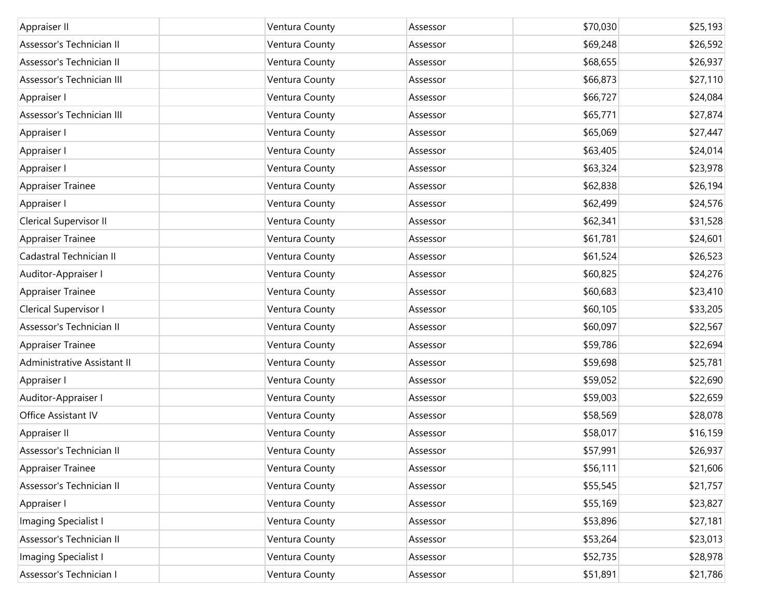| Appraiser II                | Ventura County | Assessor | \$70,030 | \$25,193 |
|-----------------------------|----------------|----------|----------|----------|
| Assessor's Technician II    | Ventura County | Assessor | \$69,248 | \$26,592 |
| Assessor's Technician II    | Ventura County | Assessor | \$68,655 | \$26,937 |
| Assessor's Technician III   | Ventura County | Assessor | \$66,873 | \$27,110 |
| Appraiser I                 | Ventura County | Assessor | \$66,727 | \$24,084 |
| Assessor's Technician III   | Ventura County | Assessor | \$65,771 | \$27,874 |
| Appraiser I                 | Ventura County | Assessor | \$65,069 | \$27,447 |
| Appraiser I                 | Ventura County | Assessor | \$63,405 | \$24,014 |
| Appraiser I                 | Ventura County | Assessor | \$63,324 | \$23,978 |
| <b>Appraiser Trainee</b>    | Ventura County | Assessor | \$62,838 | \$26,194 |
| Appraiser I                 | Ventura County | Assessor | \$62,499 | \$24,576 |
| Clerical Supervisor II      | Ventura County | Assessor | \$62,341 | \$31,528 |
| <b>Appraiser Trainee</b>    | Ventura County | Assessor | \$61,781 | \$24,601 |
| Cadastral Technician II     | Ventura County | Assessor | \$61,524 | \$26,523 |
| Auditor-Appraiser I         | Ventura County | Assessor | \$60,825 | \$24,276 |
| Appraiser Trainee           | Ventura County | Assessor | \$60,683 | \$23,410 |
| Clerical Supervisor I       | Ventura County | Assessor | \$60,105 | \$33,205 |
| Assessor's Technician II    | Ventura County | Assessor | \$60,097 | \$22,567 |
| Appraiser Trainee           | Ventura County | Assessor | \$59,786 | \$22,694 |
| Administrative Assistant II | Ventura County | Assessor | \$59,698 | \$25,781 |
| Appraiser I                 | Ventura County | Assessor | \$59,052 | \$22,690 |
| Auditor-Appraiser I         | Ventura County | Assessor | \$59,003 | \$22,659 |
| Office Assistant IV         | Ventura County | Assessor | \$58,569 | \$28,078 |
| Appraiser II                | Ventura County | Assessor | \$58,017 | \$16,159 |
| Assessor's Technician II    | Ventura County | Assessor | \$57,991 | \$26,937 |
| Appraiser Trainee           | Ventura County | Assessor | \$56,111 | \$21,606 |
| Assessor's Technician II    | Ventura County | Assessor | \$55,545 | \$21,757 |
| Appraiser I                 | Ventura County | Assessor | \$55,169 | \$23,827 |
| Imaging Specialist I        | Ventura County | Assessor | \$53,896 | \$27,181 |
| Assessor's Technician II    | Ventura County | Assessor | \$53,264 | \$23,013 |
| Imaging Specialist I        | Ventura County | Assessor | \$52,735 | \$28,978 |
| Assessor's Technician I     | Ventura County | Assessor | \$51,891 | \$21,786 |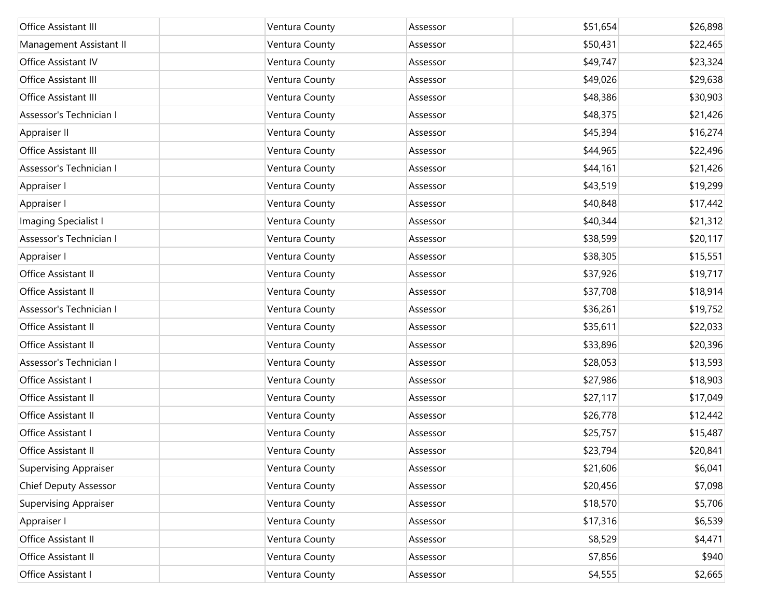| Office Assistant III         | Ventura County | Assessor | \$51,654 | \$26,898 |
|------------------------------|----------------|----------|----------|----------|
|                              |                |          |          |          |
| Management Assistant II      | Ventura County | Assessor | \$50,431 | \$22,465 |
| Office Assistant IV          | Ventura County | Assessor | \$49,747 | \$23,324 |
| Office Assistant III         | Ventura County | Assessor | \$49,026 | \$29,638 |
| Office Assistant III         | Ventura County | Assessor | \$48,386 | \$30,903 |
| Assessor's Technician I      | Ventura County | Assessor | \$48,375 | \$21,426 |
| Appraiser II                 | Ventura County | Assessor | \$45,394 | \$16,274 |
| Office Assistant III         | Ventura County | Assessor | \$44,965 | \$22,496 |
| Assessor's Technician I      | Ventura County | Assessor | \$44,161 | \$21,426 |
| Appraiser I                  | Ventura County | Assessor | \$43,519 | \$19,299 |
| Appraiser I                  | Ventura County | Assessor | \$40,848 | \$17,442 |
| Imaging Specialist I         | Ventura County | Assessor | \$40,344 | \$21,312 |
| Assessor's Technician I      | Ventura County | Assessor | \$38,599 | \$20,117 |
| Appraiser I                  | Ventura County | Assessor | \$38,305 | \$15,551 |
| Office Assistant II          | Ventura County | Assessor | \$37,926 | \$19,717 |
| Office Assistant II          | Ventura County | Assessor | \$37,708 | \$18,914 |
| Assessor's Technician I      | Ventura County | Assessor | \$36,261 | \$19,752 |
| Office Assistant II          | Ventura County | Assessor | \$35,611 | \$22,033 |
| Office Assistant II          | Ventura County | Assessor | \$33,896 | \$20,396 |
| Assessor's Technician I      | Ventura County | Assessor | \$28,053 | \$13,593 |
| Office Assistant I           | Ventura County | Assessor | \$27,986 | \$18,903 |
| Office Assistant II          | Ventura County | Assessor | \$27,117 | \$17,049 |
| Office Assistant II          | Ventura County | Assessor | \$26,778 | \$12,442 |
| Office Assistant I           | Ventura County | Assessor | \$25,757 | \$15,487 |
| Office Assistant II          | Ventura County | Assessor | \$23,794 | \$20,841 |
| <b>Supervising Appraiser</b> | Ventura County | Assessor | \$21,606 | \$6,041  |
| Chief Deputy Assessor        | Ventura County | Assessor | \$20,456 | \$7,098  |
| <b>Supervising Appraiser</b> | Ventura County | Assessor | \$18,570 | \$5,706  |
| Appraiser I                  | Ventura County | Assessor | \$17,316 | \$6,539  |
| Office Assistant II          | Ventura County | Assessor | \$8,529  | \$4,471  |
| Office Assistant II          | Ventura County | Assessor | \$7,856  | \$940    |
| Office Assistant I           | Ventura County | Assessor | \$4,555  | \$2,665  |